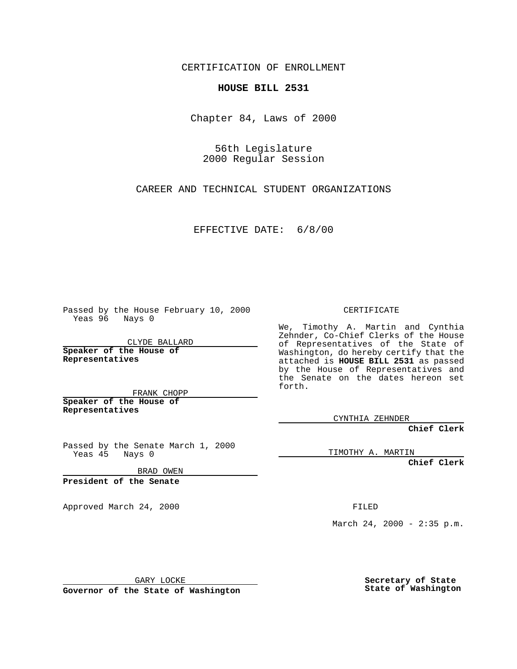CERTIFICATION OF ENROLLMENT

## **HOUSE BILL 2531**

Chapter 84, Laws of 2000

56th Legislature 2000 Regular Session

CAREER AND TECHNICAL STUDENT ORGANIZATIONS

EFFECTIVE DATE: 6/8/00

Passed by the House February 10, 2000 Yeas 96 Nays 0

CLYDE BALLARD **Speaker of the House of Representatives**

FRANK CHOPP **Speaker of the House of**

**Representatives**

Passed by the Senate March 1, 2000 Yeas 45 Nays 0

BRAD OWEN

**President of the Senate**

Approved March 24, 2000 FILED

## CERTIFICATE

We, Timothy A. Martin and Cynthia Zehnder, Co-Chief Clerks of the House of Representatives of the State of Washington, do hereby certify that the attached is **HOUSE BILL 2531** as passed by the House of Representatives and the Senate on the dates hereon set forth.

CYNTHIA ZEHNDER

**Chief Clerk**

TIMOTHY A. MARTIN

**Chief Clerk**

March 24, 2000 - 2:35 p.m.

GARY LOCKE

**Governor of the State of Washington**

**Secretary of State State of Washington**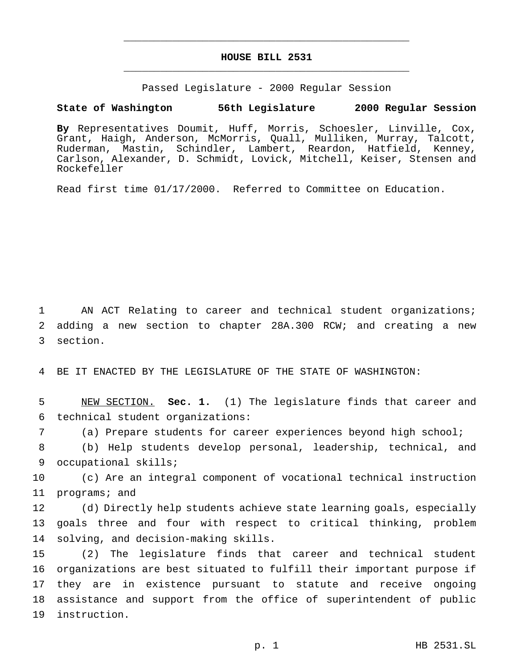## **HOUSE BILL 2531** \_\_\_\_\_\_\_\_\_\_\_\_\_\_\_\_\_\_\_\_\_\_\_\_\_\_\_\_\_\_\_\_\_\_\_\_\_\_\_\_\_\_\_\_\_\_\_

\_\_\_\_\_\_\_\_\_\_\_\_\_\_\_\_\_\_\_\_\_\_\_\_\_\_\_\_\_\_\_\_\_\_\_\_\_\_\_\_\_\_\_\_\_\_\_

Passed Legislature - 2000 Regular Session

## **State of Washington 56th Legislature 2000 Regular Session**

**By** Representatives Doumit, Huff, Morris, Schoesler, Linville, Cox, Grant, Haigh, Anderson, McMorris, Quall, Mulliken, Murray, Talcott, Ruderman, Mastin, Schindler, Lambert, Reardon, Hatfield, Kenney, Carlson, Alexander, D. Schmidt, Lovick, Mitchell, Keiser, Stensen and Rockefeller

Read first time 01/17/2000. Referred to Committee on Education.

 AN ACT Relating to career and technical student organizations; adding a new section to chapter 28A.300 RCW; and creating a new section.

BE IT ENACTED BY THE LEGISLATURE OF THE STATE OF WASHINGTON:

 NEW SECTION. **Sec. 1.** (1) The legislature finds that career and technical student organizations:

(a) Prepare students for career experiences beyond high school;

 (b) Help students develop personal, leadership, technical, and occupational skills;

 (c) Are an integral component of vocational technical instruction programs; and

 (d) Directly help students achieve state learning goals, especially goals three and four with respect to critical thinking, problem solving, and decision-making skills.

 (2) The legislature finds that career and technical student organizations are best situated to fulfill their important purpose if they are in existence pursuant to statute and receive ongoing assistance and support from the office of superintendent of public instruction.